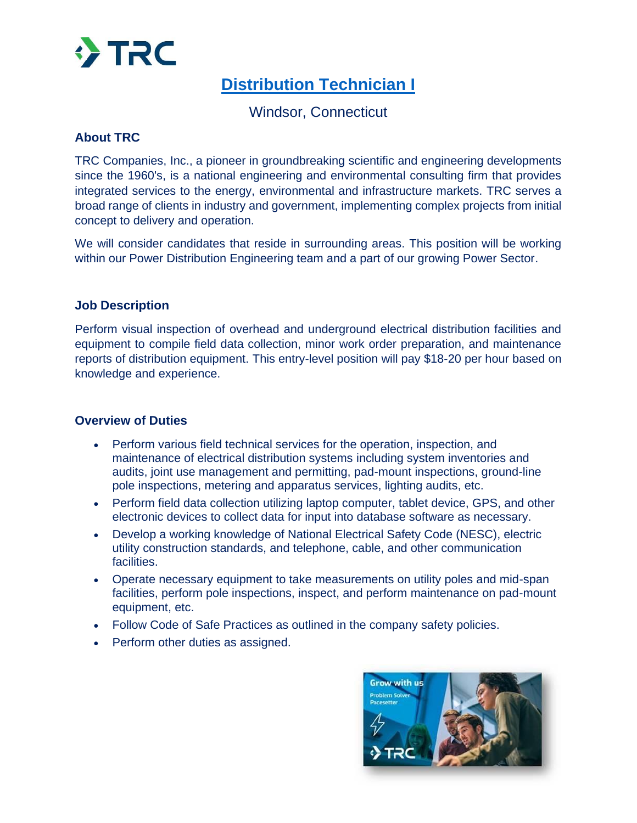

# **[Distribution Technician I](https://recruiting.adp.com/srccar/public/RTI.home?r=5000820471306&c=1209901&d=ExternalCareerSite&rb=PhenomPeople#/)**

Windsor, Connecticut

# **About TRC**

TRC Companies, Inc., a pioneer in groundbreaking scientific and engineering developments since the 1960's, is a national engineering and environmental consulting firm that provides integrated services to the energy, environmental and infrastructure markets. TRC serves a broad range of clients in industry and government, implementing complex projects from initial concept to delivery and operation.

We will consider candidates that reside in surrounding areas. This position will be working within our Power Distribution Engineering team and a part of our growing Power Sector.

### **Job Description**

Perform visual inspection of overhead and underground electrical distribution facilities and equipment to compile field data collection, minor work order preparation, and maintenance reports of distribution equipment. This entry-level position will pay \$18-20 per hour based on knowledge and experience.

#### **Overview of Duties**

- Perform various field technical services for the operation, inspection, and maintenance of electrical distribution systems including system inventories and audits, joint use management and permitting, pad-mount inspections, ground-line pole inspections, metering and apparatus services, lighting audits, etc.
- Perform field data collection utilizing laptop computer, tablet device, GPS, and other electronic devices to collect data for input into database software as necessary.
- Develop a working knowledge of National Electrical Safety Code (NESC), electric utility construction standards, and telephone, cable, and other communication facilities.
- Operate necessary equipment to take measurements on utility poles and mid-span facilities, perform pole inspections, inspect, and perform maintenance on pad-mount equipment, etc.
- Follow Code of Safe Practices as outlined in the company safety policies.
- Perform other duties as assigned.